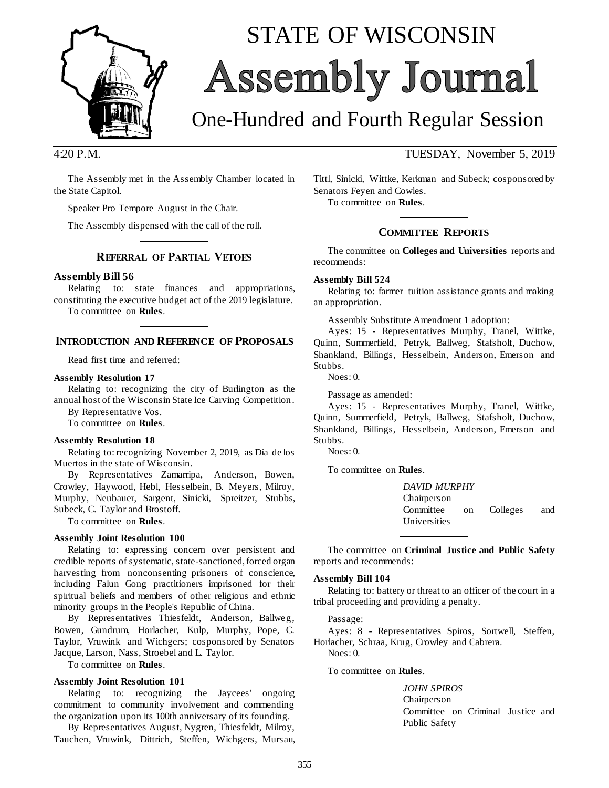

# STATE OF WISCONSIN Assembly Journal

## One-Hundred and Fourth Regular Session

4:20 P.M. TUESDAY, November 5, 2019

The Assembly met in the Assembly Chamber located in the State Capitol.

Speaker Pro Tempore August in the Chair.

The Assembly dispensed with the call of the roll.

### **\_\_\_\_\_\_\_\_\_\_\_\_\_ REFERRAL OF PARTIAL VETOES**

### **Assembly Bill 56**

Relating to: state finances and appropriations, constituting the executive budget act of the 2019 legislature. To committee on **Rules**.

**\_\_\_\_\_\_\_\_\_\_\_\_\_ INTRODUCTION AND REFERENCE OF PROPOSALS**

Read first time and referred:

### **Assembly Resolution 17**

Relating to: recognizing the city of Burlington as the annual host of the Wisconsin State Ice Carving Competition.

By Representative Vos.

To committee on **Rules**.

#### **Assembly Resolution 18**

Relating to: recognizing November 2, 2019, as Día de los Muertos in the state of Wisconsin.

By Representatives Zamarripa, Anderson, Bowen, Crowley, Haywood, Hebl, Hesselbein, B. Meyers, Milroy, Murphy, Neubauer, Sargent, Sinicki, Spreitzer, Stubbs, Subeck, C. Taylor and Brostoff.

To committee on **Rules**.

### **Assembly Joint Resolution 100**

Relating to: expressing concern over persistent and credible reports of systematic, state-sanctioned, forced organ harvesting from nonconsenting prisoners of conscience, including Falun Gong practitioners imprisoned for their spiritual beliefs and members of other religious and ethnic minority groups in the People's Republic of China.

By Representatives Thiesfeldt, Anderson, Ballweg, Bowen, Gundrum, Horlacher, Kulp, Murphy, Pope, C. Taylor, Vruwink and Wichgers; cosponsored by Senators Jacque, Larson, Nass, Stroebel and L. Taylor.

To committee on **Rules**.

### **Assembly Joint Resolution 101**

Relating to: recognizing the Jaycees' ongoing commitment to community involvement and commending the organization upon its 100th anniversary of its founding.

By Representatives August, Nygren, Thiesfeldt, Milroy, Tauchen, Vruwink, Dittrich, Steffen, Wichgers, Mursau, Tittl, Sinicki, Wittke, Kerkman and Subeck; cosponsored by Senators Feyen and Cowles.

To committee on **Rules**.

### **\_\_\_\_\_\_\_\_\_\_\_\_\_ COMMITTEE REPORTS**

The committee on **Colleges and Universities** reports and recommends:

### **Assembly Bill 524**

Relating to: farmer tuition assistance grants and making an appropriation.

Assembly Substitute Amendment 1 adoption:

Ayes: 15 - Representatives Murphy, Tranel, Wittke, Quinn, Summerfield, Petryk, Ballweg, Stafsholt, Duchow, Shankland, Billings, Hesselbein, Anderson, Emerson and Stubbs.

Noes: 0.

Passage as amended:

Ayes: 15 - Representatives Murphy, Tranel, Wittke, Quinn, Summerfield, Petryk, Ballweg, Stafsholt, Duchow, Shankland, Billings, Hesselbein, Anderson, Emerson and Stubbs.

Noes: 0.

To committee on **Rules**.

*DAVID MURPHY* Chairperson Committee on Colleges and Universities **\_\_\_\_\_\_\_\_\_\_\_\_\_**

The committee on **Criminal Justice and Public Safety** reports and recommends:

#### **Assembly Bill 104**

Relating to: battery or threat to an officer of the court in a tribal proceeding and providing a penalty.

Passage:

Ayes: 8 - Representatives Spiros, Sortwell, Steffen, Horlacher, Schraa, Krug, Crowley and Cabrera. Noes: 0.

To committee on **Rules**.

*JOHN SPIROS* Chairperson Committee on Criminal Justice and Public Safety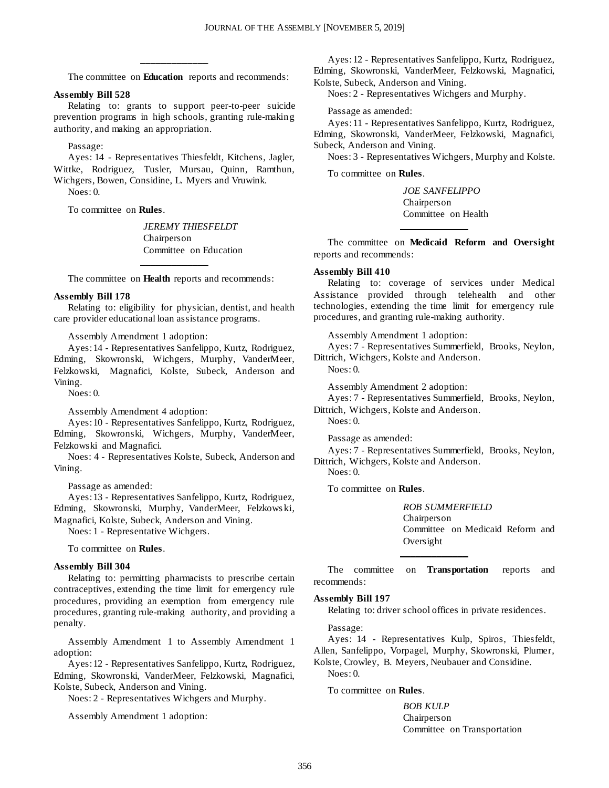The committee on **Education** reports and recommends:

**\_\_\_\_\_\_\_\_\_\_\_\_\_**

### **Assembly Bill 528**

Relating to: grants to support peer-to-peer suicide prevention programs in high schools, granting rule-making authority, and making an appropriation.

Passage:

Ayes: 14 - Representatives Thiesfeldt, Kitchens, Jagler, Wittke, Rodriguez, Tusler, Mursau, Quinn, Ramthun, Wichgers, Bowen, Considine, L. Myers and Vruwink. Noes: 0.

To committee on **Rules**.

*JEREMY THIESFELDT* Chairperson Committee on Education

**\_\_\_\_\_\_\_\_\_\_\_\_\_** The committee on **Health** reports and recommends:

#### **Assembly Bill 178**

Relating to: eligibility for physician, dentist, and health care provider educational loan assistance programs.

Assembly Amendment 1 adoption:

Ayes: 14 - Representatives Sanfelippo, Kurtz, Rodriguez, Edming, Skowronski, Wichgers, Murphy, VanderMeer, Felzkowski, Magnafici, Kolste, Subeck, Anderson and Vining.

Noes: 0.

Assembly Amendment 4 adoption:

Ayes: 10 - Representatives Sanfelippo, Kurtz, Rodriguez, Edming, Skowronski, Wichgers, Murphy, VanderMeer, Felzkowski and Magnafici.

Noes: 4 - Representatives Kolste, Subeck, Anderson and Vining.

Passage as amended:

Ayes: 13 - Representatives Sanfelippo, Kurtz, Rodriguez, Edming, Skowronski, Murphy, VanderMeer, Felzkows ki, Magnafici, Kolste, Subeck, Anderson and Vining.

Noes: 1 - Representative Wichgers.

To committee on **Rules**.

#### **Assembly Bill 304**

Relating to: permitting pharmacists to prescribe certain contraceptives, extending the time limit for emergency rule procedures, providing an exemption from emergency rule procedures, granting rule-making authority, and providing a penalty.

Assembly Amendment 1 to Assembly Amendment 1 adoption:

Ayes: 12 - Representatives Sanfelippo, Kurtz, Rodriguez, Edming, Skowronski, VanderMeer, Felzkowski, Magnafici, Kolste, Subeck, Anderson and Vining.

Noes: 2 - Representatives Wichgers and Murphy.

Assembly Amendment 1 adoption:

Ayes: 12 - Representatives Sanfelippo, Kurtz, Rodriguez, Edming, Skowronski, VanderMeer, Felzkowski, Magnafici, Kolste, Subeck, Anderson and Vining.

Noes: 2 - Representatives Wichgers and Murphy.

Passage as amended:

Ayes: 11 - Representatives Sanfelippo, Kurtz, Rodriguez, Edming, Skowronski, VanderMeer, Felzkowski, Magnafici, Subeck, Anderson and Vining.

Noes: 3 - Representatives Wichgers, Murphy and Kolste.

To committee on **Rules**.

*JOE SANFELIPPO* Chairperson Committee on Health

The committee on **Medicaid Reform and Oversight** reports and recommends:

**\_\_\_\_\_\_\_\_\_\_\_\_\_**

#### **Assembly Bill 410**

Relating to: coverage of services under Medical Assistance provided through telehealth and other technologies, extending the time limit for emergency rule procedures, and granting rule-making authority.

Assembly Amendment 1 adoption:

Ayes: 7 - Representatives Summerfield, Brooks, Neylon, Dittrich, Wichgers, Kolste and Anderson.

 $N$ oes: 0.

Assembly Amendment 2 adoption:

Ayes: 7 - Representatives Summerfield, Brooks, Neylon, Dittrich, Wichgers, Kolste and Anderson.

Noes: 0.

Passage as amended:

Ayes: 7 - Representatives Summerfield, Brooks, Neylon, Dittrich, Wichgers, Kolste and Anderson.

Noes: 0.

To committee on **Rules**.

*ROB SUMMERFIELD* Chairperson Committee on Medicaid Reform and Oversight **\_\_\_\_\_\_\_\_\_\_\_\_\_**

The committee on **Transportation** reports and recommends:

### **Assembly Bill 197**

Relating to: driver school offices in private residences.

Passage:

Ayes: 14 - Representatives Kulp, Spiros, Thiesfeldt, Allen, Sanfelippo, Vorpagel, Murphy, Skowronski, Plumer,

Kolste, Crowley, B. Meyers, Neubauer and Considine. Noes: 0.

### To committee on **Rules**.

*BOB KULP* Chairperson Committee on Transportation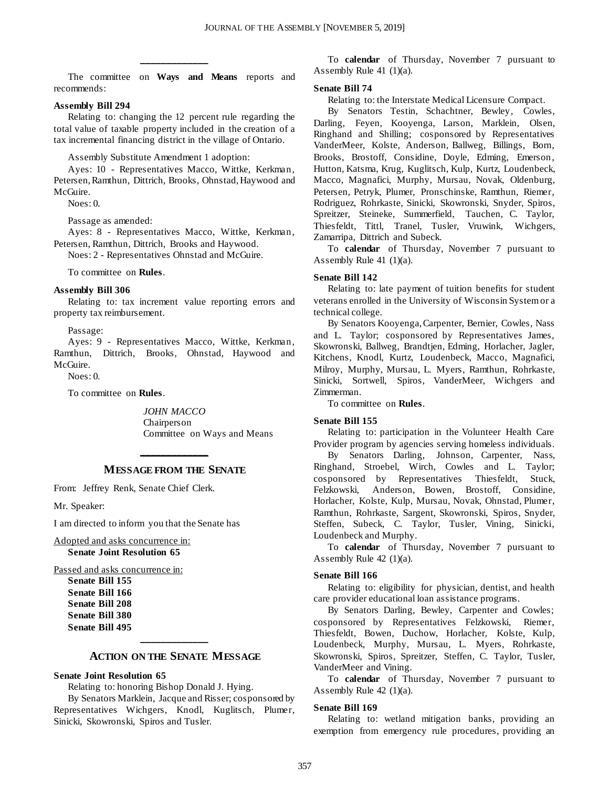The committee on **Ways and Means** reports and recommends:

**\_\_\_\_\_\_\_\_\_\_\_\_\_**

### **Assembly Bill 294**

Relating to: changing the 12 percent rule regarding the total value of taxable property included in the creation of a tax incremental financing district in the village of Ontario.

Assembly Substitute Amendment 1 adoption:

Ayes: 10 - Representatives Macco, Wittke, Kerkman, Petersen, Ramthun, Dittrich, Brooks, Ohnstad, Haywood and McGuire.

 $N$ oes: 0.

Passage as amended:

Ayes: 8 - Representatives Macco, Wittke, Kerkman, Petersen, Ramthun, Dittrich, Brooks and Haywood.

Noes: 2 - Representatives Ohnstad and McGuire.

To committee on **Rules**.

### **Assembly Bill 306**

Relating to: tax increment value reporting errors and property tax reimbursement.

Passage:

Ayes: 9 - Representatives Macco, Wittke, Kerkman, Ramthun, Dittrich, Brooks, Ohnstad, Haywood and McGuire.

 $N_{O}e^{c}$   $\theta$ .

To committee on **Rules**.

*JOHN MACCO* Chairperson Committee on Ways and Means

### **\_\_\_\_\_\_\_\_\_\_\_\_\_ MESSAGE FROM THE SENATE**

From: Jeffrey Renk, Senate Chief Clerk.

Mr. Speaker:

I am directed to inform you that the Senate has

Adopted and asks concurrence in: **Senate Joint Resolution 65**

Passed and asks concurrence in:

**Senate Bill 155 Senate Bill 166 Senate Bill 208 Senate Bill 380 Senate Bill 495**

### **\_\_\_\_\_\_\_\_\_\_\_\_\_ ACTION ON THE SENATE MESSAGE**

### **Senate Joint Resolution 65**

Relating to: honoring Bishop Donald J. Hying.

By Senators Marklein, Jacque and Risser; cosponsored by Representatives Wichgers, Knodl, Kuglitsch, Plumer, Sinicki, Skowronski, Spiros and Tusler.

To **calendar** of Thursday, November 7 pursuant to Assembly Rule 41 (1)(a).

### **Senate Bill 74**

Relating to: the Interstate Medical Licensure Compact.

By Senators Testin, Schachtner, Bewley, Cowles, Darling, Feyen, Kooyenga, Larson, Marklein, Olsen, Ringhand and Shilling; cosponsored by Representatives VanderMeer, Kolste, Anderson, Ballweg, Billings, Born, Brooks, Brostoff, Considine, Doyle, Edming, Emerson, Hutton, Katsma, Krug, Kuglitsch, Kulp, Kurtz, Loudenbeck, Macco, Magnafici, Murphy, Mursau, Novak, Oldenburg, Petersen, Petryk, Plumer, Pronschinske, Ramthun, Riemer, Rodriguez, Rohrkaste, Sinicki, Skowronski, Snyder, Spiros, Spreitzer, Steineke, Summerfield, Tauchen, C. Taylor, Thiesfeldt, Tittl, Tranel, Tusler, Vruwink, Wichgers, Zamarripa, Dittrich and Subeck.

To **calendar** of Thursday, November 7 pursuant to Assembly Rule 41 (1)(a).

### **Senate Bill 142**

Relating to: late payment of tuition benefits for student veterans enrolled in the University of Wisconsin System or a technical college.

By Senators Kooyenga, Carpenter, Bernier, Cowles, Nass and L. Taylor; cosponsored by Representatives James, Skowronski, Ballweg, Brandtjen, Edming, Horlacher, Jagler, Kitchens, Knodl, Kurtz, Loudenbeck, Macco, Magnafici, Milroy, Murphy, Mursau, L. Myers, Ramthun, Rohrkaste, Sinicki, Sortwell, Spiros, VanderMeer, Wichgers and Zimmerman.

To committee on **Rules**.

### **Senate Bill 155**

Relating to: participation in the Volunteer Health Care Provider program by agencies serving homeless individuals.

By Senators Darling, Johnson, Carpenter, Nass, Ringhand, Stroebel, Wirch, Cowles and L. Taylor; cosponsored by Representatives Thiesfeldt, Stuck, Felzkowski, Anderson, Bowen, Brostoff, Considine, Horlacher, Kolste, Kulp, Mursau, Novak, Ohnstad, Plumer, Ramthun, Rohrkaste, Sargent, Skowronski, Spiros, Snyder, Steffen, Subeck, C. Taylor, Tusler, Vining, Sinicki, Loudenbeck and Murphy.

To **calendar** of Thursday, November 7 pursuant to Assembly Rule 42 (1)(a).

### **Senate Bill 166**

Relating to: eligibility for physician, dentist, and health care provider educational loan assistance programs.

By Senators Darling, Bewley, Carpenter and Cowles; cosponsored by Representatives Felzkowski, Riemer, Thiesfeldt, Bowen, Duchow, Horlacher, Kolste, Kulp, Loudenbeck, Murphy, Mursau, L. Myers, Rohrkaste, Skowronski, Spiros, Spreitzer, Steffen, C. Taylor, Tusler, VanderMeer and Vining.

To **calendar** of Thursday, November 7 pursuant to Assembly Rule 42 (1)(a).

### **Senate Bill 169**

Relating to: wetland mitigation banks, providing an exemption from emergency rule procedures, providing an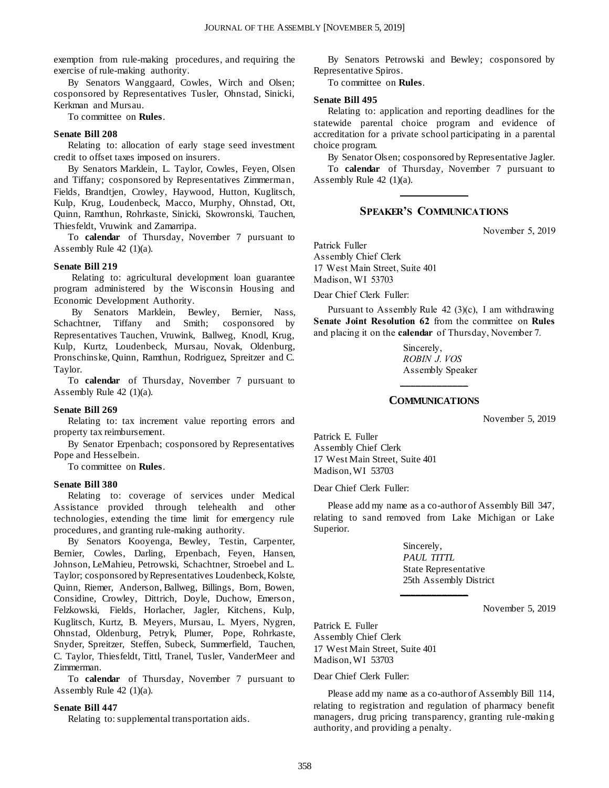exemption from rule-making procedures, and requiring the exercise of rule-making authority.

By Senators Wanggaard, Cowles, Wirch and Olsen; cosponsored by Representatives Tusler, Ohnstad, Sinicki, Kerkman and Mursau.

To committee on **Rules**.

### **Senate Bill 208**

Relating to: allocation of early stage seed investment credit to offset taxes imposed on insurers.

By Senators Marklein, L. Taylor, Cowles, Feyen, Olsen and Tiffany; cosponsored by Representatives Zimmerman, Fields, Brandtjen, Crowley, Haywood, Hutton, Kuglitsch, Kulp, Krug, Loudenbeck, Macco, Murphy, Ohnstad, Ott, Quinn, Ramthun, Rohrkaste, Sinicki, Skowronski, Tauchen, Thiesfeldt, Vruwink and Zamarripa.

To **calendar** of Thursday, November 7 pursuant to Assembly Rule 42 (1)(a).

### **Senate Bill 219**

Relating to: agricultural development loan guarantee program administered by the Wisconsin Housing and Economic Development Authority.

By Senators Marklein, Bewley, Bernier, Nass, Schachtner, Tiffany and Smith; cosponsored by Representatives Tauchen, Vruwink, Ballweg, Knodl, Krug, Kulp, Kurtz, Loudenbeck, Mursau, Novak, Oldenburg, Pronschinske, Quinn, Ramthun, Rodriguez, Spreitzer and C. Taylor.

To **calendar** of Thursday, November 7 pursuant to Assembly Rule 42 (1)(a).

### **Senate Bill 269**

Relating to: tax increment value reporting errors and property tax reimbursement.

By Senator Erpenbach; cosponsored by Representatives Pope and Hesselbein.

To committee on **Rules**.

### **Senate Bill 380**

Relating to: coverage of services under Medical Assistance provided through telehealth and other technologies, extending the time limit for emergency rule procedures, and granting rule-making authority.

By Senators Kooyenga, Bewley, Testin, Carpenter, Bernier, Cowles, Darling, Erpenbach, Feyen, Hansen, Johnson, LeMahieu, Petrowski, Schachtner, Stroebel and L. Taylor; cosponsored by Representatives Loudenbeck, Kolste, Quinn, Riemer, Anderson, Ballweg, Billings, Born, Bowen, Considine, Crowley, Dittrich, Doyle, Duchow, Emerson, Felzkowski, Fields, Horlacher, Jagler, Kitchens, Kulp, Kuglitsch, Kurtz, B. Meyers, Mursau, L. Myers, Nygren, Ohnstad, Oldenburg, Petryk, Plumer, Pope, Rohrkaste, Snyder, Spreitzer, Steffen, Subeck, Summerfield, Tauchen, C. Taylor, Thiesfeldt, Tittl, Tranel, Tusler, VanderMeer and Zimmerman.

To **calendar** of Thursday, November 7 pursuant to Assembly Rule 42 (1)(a).

### **Senate Bill 447**

Relating to: supplemental transportation aids.

By Senators Petrowski and Bewley; cosponsored by Representative Spiros.

To committee on **Rules**.

### **Senate Bill 495**

Relating to: application and reporting deadlines for the statewide parental choice program and evidence of accreditation for a private school participating in a parental choice program.

By Senator Olsen; cosponsored by Representative Jagler.

To **calendar** of Thursday, November 7 pursuant to Assembly Rule 42 (1)(a). **\_\_\_\_\_\_\_\_\_\_\_\_\_**

### **SPEAKER'S COMMUNICATIONS**

November 5, 2019

Patrick Fuller Assembly Chief Clerk 17 West Main Street, Suite 401 Madison, WI 53703

Dear Chief Clerk Fuller:

Pursuant to Assembly Rule  $42$  (3)(c), I am withdrawing **Senate Joint Resolution 62** from the committee on **Rules** and placing it on the **calendar** of Thursday, November 7.

> Sincerely, *ROBIN J. VOS* Assembly Speaker

### **\_\_\_\_\_\_\_\_\_\_\_\_\_ COMMUNICATIONS**

November 5, 2019

Patrick E. Fuller Assembly Chief Clerk 17 West Main Street, Suite 401 Madison, WI 53703

Dear Chief Clerk Fuller:

Please add my name as a co-author of Assembly Bill 347, relating to sand removed from Lake Michigan or Lake Superior.

**\_\_\_\_\_\_\_\_\_\_\_\_\_**

Sincerely, *PAUL TITTL* State Representative 25th Assembly District

November 5, 2019

Patrick E. Fuller Assembly Chief Clerk 17 West Main Street, Suite 401 Madison, WI 53703

Dear Chief Clerk Fuller:

Please add my name as a co-author of Assembly Bill 114, relating to registration and regulation of pharmacy benefit managers, drug pricing transparency, granting rule-making authority, and providing a penalty.